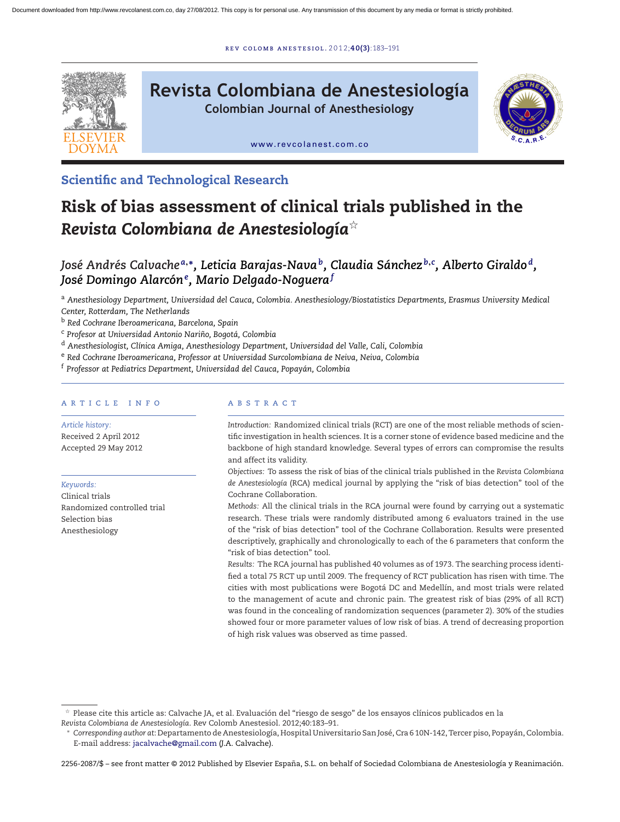r ev [colomb](dx.doi.org/10.1016/j.rcae.2012.06.009) ane s t e s iol . 2 0 1 2;**40(3)**:183–191



**Scientific and Technological Research**

# **Risk of bias assessment of clinical trials published in the** *Revista Colombiana de Anestesiología*-

*José Andrés Calvache <sup>a</sup>***,∗***, Leticia Barajas-Navab, Claudia Sánchez <sup>b</sup>***,***<sup>c</sup> , Alberto Giraldo d, José Domingo Alarcón<sup>e</sup> , Mario Delgado-Noguera<sup>f</sup>*

<sup>a</sup> *Anesthesiology Department, Universidad del Cauca, Colombia. Anesthesiology/Biostatistics Departments, Erasmus University Medical Center, Rotterdam, The Netherlands*

<sup>b</sup> *Red Cochrane Iberoamericana, Barcelona, Spain*

<sup>c</sup> *Profesor at Universidad Antonio Narino, ˜ Bogotá, Colombia*

<sup>d</sup> *Anesthesiologist, Clínica Amiga, Anesthesiology Department, Universidad del Valle, Cali, Colombia*

<sup>e</sup> *Red Cochrane Iberoamericana, Professor at Universidad Surcolombiana de Neiva, Neiva, Colombia*

<sup>f</sup> *Professor at Pediatrics Department, Universidad del Cauca, Popayán, Colombia*

## a r t i c l e i n f o

*Article history:* Received 2 April 2012 Accepted 29 May 2012

*Keywords:*

Clinical trials Randomized controlled trial Selection bias Anesthesiology

## a b s t r a c t

*Introduction:* Randomized clinical trials (RCT) are one of the most reliable methods of scientific investigation in health sciences. It is a corner stone of evidence based medicine and the backbone of high standard knowledge. Several types of errors can compromise the results and affect its validity.

*Objectives:* To assess the risk of bias of the clinical trials published in the *Revista Colombiana de Anestesiología* (RCA) medical journal by applying the "risk of bias detection" tool of the Cochrane Collaboration.

*Methods:* All the clinical trials in the RCA journal were found by carrying out a systematic research. These trials were randomly distributed among 6 evaluators trained in the use of the "risk of bias detection" tool of the Cochrane Collaboration. Results were presented descriptively, graphically and chronologically to each of the 6 parameters that conform the "risk of bias detection" tool.

*Results:* The RCA journal has published 40 volumes as of 1973. The searching process identified a total 75 RCT up until 2009. The frequency of RCT publication has risen with time. The cities with most publications were Bogotá DC and Medellín, and most trials were related to the management of acute and chronic pain. The greatest risk of bias (29% of all RCT) was found in the concealing of randomization sequences (parameter 2). 30% of the studies showed four or more parameter values of low risk of bias. A trend of decreasing proportion of high risk values was observed as time passed.

 $\forall$  Please cite this article as: Calvache JA, et al. Evaluación del "riesgo de sesgo" de los ensayos clínicos publicados en la *Revista Colombiana de Anestesiología*. Rev Colomb Anestesiol. 2012;40:183–91.

<sup>∗</sup> *Corresponding author at*: Departamento de Anestesiología, Hospital Universitario San José,Cra 6 10N-142, Tercer piso, Popayán,Colombia. E-mail address: [jacalvache@gmail.com](mailto:jacalvache@gmail.com) (J.A. Calvache).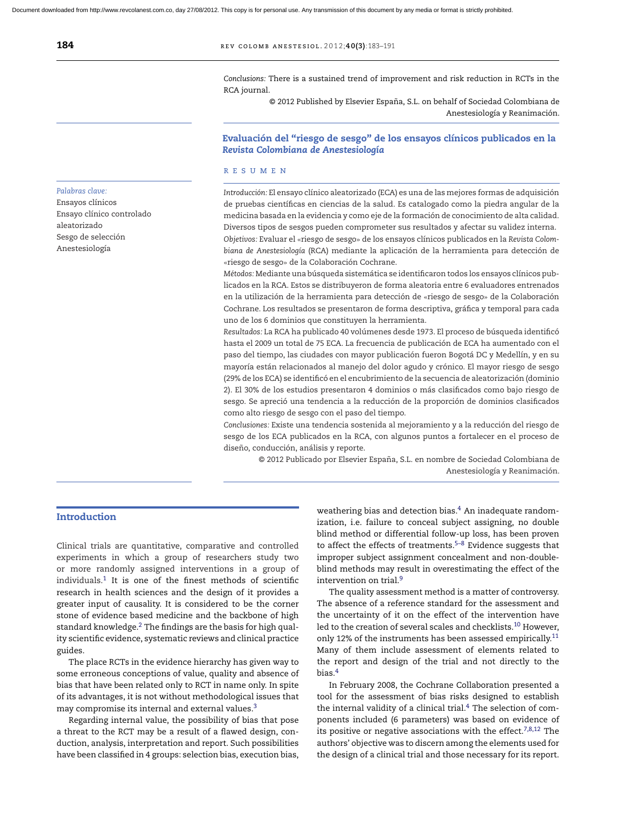*Conclusions:* There is a sustained trend of improvement and risk reduction in RCTs in the RCA journal.

© 2012 Published by Elsevier España, S.L. on behalf of Sociedad Colombiana de Anestesiología y Reanimación.

## **Evaluación del "riesgo de sesgo" de los ensayos clínicos publicados en la** *Revista Colombiana de Anestesiología*

#### r e s u m e n

*Introducción:* El ensayo clínico aleatorizado (ECA) es una de las mejores formas de adquisición de pruebas científicas en ciencias de la salud. Es catalogado como la piedra angular de la medicina basada en la evidencia y como eje de la formación de conocimiento de alta calidad. Diversos tipos de sesgos pueden comprometer sus resultados y afectar su validez interna. *Objetivos:* Evaluar el «riesgo de sesgo» de los ensayos clínicos publicados en la *Revista Colombiana de Anestesiología* (RCA) mediante la aplicación de la herramienta para detección de «riesgo de sesgo» de la Colaboración Cochrane.

*Métodos:* Mediante una búsqueda sistemática se identificaron todos los ensayos clínicos publicados en la RCA. Estos se distribuyeron de forma aleatoria entre 6 evaluadores entrenados en la utilización de la herramienta para detección de «riesgo de sesgo» de la Colaboración Cochrane. Los resultados se presentaron de forma descriptiva, gráfica y temporal para cada uno de los 6 dominios que constituyen la herramienta.

*Resultados:* La RCA ha publicado 40 volúmenes desde 1973. El proceso de búsqueda identificó hasta el 2009 un total de 75 ECA. La frecuencia de publicación de ECA ha aumentado con el paso del tiempo, las ciudades con mayor publicación fueron Bogotá DC y Medellín, y en su mayoría están relacionados al manejo del dolor agudo y crónico. El mayor riesgo de sesgo (29% de los ECA) se identificó en el encubrimiento de la secuencia de aleatorización (dominio 2). El 30% de los estudios presentaron 4 dominios o más clasificados como bajo riesgo de sesgo. Se apreció una tendencia a la reducción de la proporción de dominios clasificados como alto riesgo de sesgo con el paso del tiempo.

*Conclusiones:* Existe una tendencia sostenida al mejoramiento y a la reducción del riesgo de sesgo de los ECA publicados en la RCA, con algunos puntos a fortalecer en el proceso de diseño, conducción, análisis y reporte.

© 2012 Publicado por Elsevier España, S.L. en nombre de Sociedad Colombiana de Anestesiología y Reanimación.

## **Introduction**

Clinical trials are quantitative, comparative and controlled experiments in which a group of researchers study two or more randomly assigned interventions in a group of individuals[.1](#page-7-0) It is one of the finest methods of scientific research in health sciences and the design of it provides a greater input of causality. It is considered to be the corner stone of evidence based medicine and the backbone of high standard knowledge.<sup>2</sup> The findings are the basis for high quality scientific evidence, systematic reviews and clinical practice guides.

The place RCTs in the evidence hierarchy has given way to some erroneous conceptions of value, quality and absence of bias that have been related only to RCT in name only. In spite of its advantages, it is not without methodological issues that may compromise its internal and external values.[3](#page-7-0)

Regarding internal value, the possibility of bias that pose a threat to the RCT may be a result of a flawed design, conduction, analysis, interpretation and report. Such possibilities have been classified in 4 groups: selection bias, execution bias, weathering bias and detection bias.<sup>4</sup> An inadequate randomization, i.e. failure to conceal subject assigning, no double blind method or differential follow-up loss, has been proven to affect the effects of treatments. $5-8$  Evidence suggests that improper subject assignment concealment and non-doubleblind methods may result in overestimating the effect of the intervention on trial.[9](#page-7-0)

The quality assessment method is a matter of controversy. The absence of a reference standard for the assessment and the uncertainty of it on the effect of the intervention have led to the creation of several scales and checklists.[10](#page-7-0) However, only 12% of the instruments has been assessed empirically[.11](#page-7-0) Many of them include assessment of elements related to the report and design of the trial and not directly to the bias[.4](#page-7-0)

In February 2008, the Cochrane Collaboration presented a tool for the assessment of bias risks designed to establish the internal validity of a clinical trial.<sup>[4](#page-7-0)</sup> The selection of components included (6 parameters) was based on evidence of its positive or negative associations with the effect.<sup>[7,8,12](#page-7-0)</sup> The authors' objective was to discern among the elements used for the design of a clinical trial and those necessary for its report.

## *Palabras clave:*

Ensayos clínicos Ensayo clínico controlado aleatorizado Sesgo de selección Anestesiología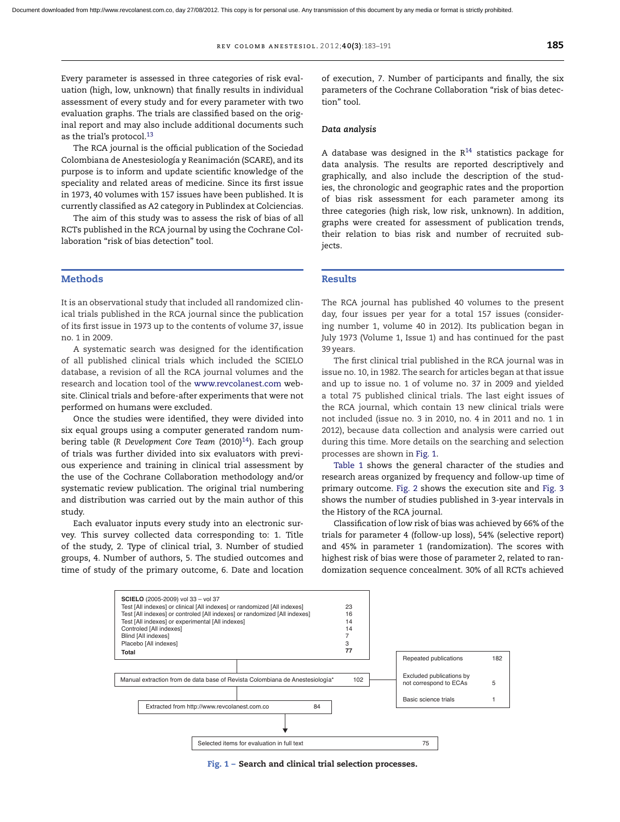Every parameter is assessed in three categories of risk evaluation (high, low, unknown) that finally results in individual assessment of every study and for every parameter with two evaluation graphs. The trials are classified based on the original report and may also include additional documents such as the trial's protocol.<sup>13</sup>

The RCA journal is the official publication of the Sociedad Colombiana de Anestesiología y Reanimación (SCARE), and its purpose is to inform and update scientific knowledge of the speciality and related areas of medicine. Since its first issue in 1973, 40 volumes with 157 issues have been published. It is currently classified as A2 category in Publindex at Colciencias.

The aim of this study was to assess the risk of bias of all RCTs published in the RCA journal by using the Cochrane Collaboration "risk of bias detection" tool.

#### **Methods**

It is an observational study that included all randomized clinical trials published in the RCA journal since the publication of its first issue in 1973 up to the contents of volume 37, issue no. 1 in 2009.

A systematic search was designed for the identification of all published clinical trials which included the SCIELO database, a revision of all the RCA journal volumes and the research and location tool of the [www.revcolanest.com](http://www.revcolanest.com/) website. Clinical trials and before-after experiments that were not performed on humans were excluded.

Once the studies were identified, they were divided into six equal groups using a computer generated random numbering table (R Development Core Team (2010)<sup>14</sup>). Each group of trials was further divided into six evaluators with previous experience and training in clinical trial assessment by the use of the Cochrane Collaboration methodology and/or systematic review publication. The original trial numbering and distribution was carried out by the main author of this study.

Each evaluator inputs every study into an electronic survey. This survey collected data corresponding to: 1. Title of the study, 2. Type of clinical trial, 3. Number of studied groups, 4. Number of authors, 5. The studied outcomes and time of study of the primary outcome, 6. Date and location of execution, 7. Number of participants and finally, the six parameters of the Cochrane Collaboration "risk of bias detection" tool.

#### *Data analysis*

A database was designed in the  $R^{14}$  $R^{14}$  $R^{14}$  statistics package for data analysis. The results are reported descriptively and graphically, and also include the description of the studies, the chronologic and geographic rates and the proportion of bias risk assessment for each parameter among its three categories (high risk, low risk, unknown). In addition, graphs were created for assessment of publication trends, their relation to bias risk and number of recruited subjects.

#### **Results**

The RCA journal has published 40 volumes to the present day, four issues per year for a total 157 issues (considering number 1, volume 40 in 2012). Its publication began in July 1973 (Volume 1, Issue 1) and has continued for the past 39 years.

The first clinical trial published in the RCA journal was in issue no. 10, in 1982. The search for articles began at that issue and up to issue no. 1 of volume no. 37 in 2009 and yielded a total 75 published clinical trials. The last eight issues of the RCA journal, which contain 13 new clinical trials were not included (issue no. 3 in 2010, no. 4 in 2011 and no. 1 in 2012), because data collection and analysis were carried out during this time. More details on the searching and selection processes are shown in Fig. 1.

[Table](#page-3-0) 1 shows the general character of the studies and research areas organized by frequency and follow-up time of primary outcome. [Fig.](#page-4-0) 2 shows the execution site and [Fig.](#page-4-0) 3 shows the number of studies published in 3-year intervals in the History of the RCA journal.

Classification of low risk of bias was achieved by 66% of the trials for parameter 4 (follow-up loss), 54% (selective report) and 45% in parameter 1 (randomization). The scores with highest risk of bias were those of parameter 2, related to randomization sequence concealment. 30% of all RCTs achieved



**Fig. 1 – Search and clinical trial selection processes.**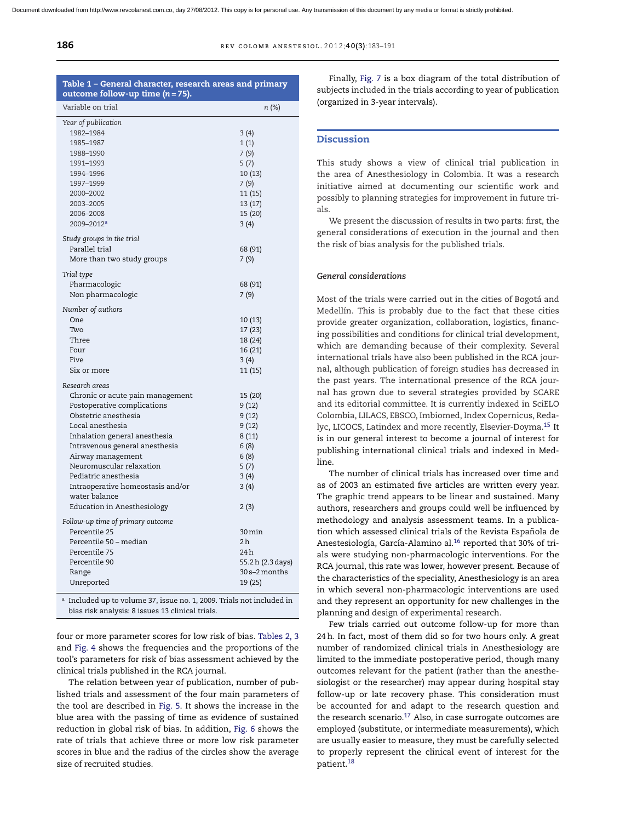<span id="page-3-0"></span>

| REV COLOMB ANESTESIOL. 2012;40(3):183-191 |
|-------------------------------------------|
|                                           |

| Table 1 - General character, research areas and primary                                                                   |                  |
|---------------------------------------------------------------------------------------------------------------------------|------------------|
| outcome follow-up time $(n = 75)$ .<br>Variable on trial                                                                  |                  |
|                                                                                                                           | n (%)            |
| Year of publication                                                                                                       |                  |
| 1982-1984                                                                                                                 | 3(4)             |
| 1985-1987                                                                                                                 | 1(1)             |
| 1988-1990                                                                                                                 | 7(9)             |
| 1991-1993                                                                                                                 | 5(7)             |
| 1994-1996                                                                                                                 | 10(13)           |
| 1997-1999                                                                                                                 | 7(9)             |
| 2000-2002                                                                                                                 | 11(15)           |
| 2003-2005                                                                                                                 | 13 (17)          |
| 2006-2008                                                                                                                 | 15 (20)          |
| 2009-2012 <sup>a</sup>                                                                                                    | 3(4)             |
| Study groups in the trial                                                                                                 |                  |
| Parallel trial                                                                                                            |                  |
| More than two study groups                                                                                                | 68 (91)<br>7(9)  |
|                                                                                                                           |                  |
| Trial type                                                                                                                |                  |
| Pharmacologic                                                                                                             | 68 (91)          |
| Non pharmacologic                                                                                                         | 7(9)             |
| Number of authors                                                                                                         |                  |
| One                                                                                                                       | 10 (13)          |
| Two                                                                                                                       | 17 (23)          |
| Three                                                                                                                     | 18 (24)          |
| Four                                                                                                                      | 16 (21)          |
| Five                                                                                                                      | 3(4)             |
| Six or more                                                                                                               | 11 (15)          |
|                                                                                                                           |                  |
| Research areas                                                                                                            |                  |
| Chronic or acute pain management                                                                                          | 15 (20)          |
| Postoperative complications                                                                                               | 9(12)            |
| Obstetric anesthesia                                                                                                      | 9(12)            |
| Local anesthesia                                                                                                          | 9(12)            |
| Inhalation general anesthesia                                                                                             | 8(11)            |
| Intravenous general anesthesia                                                                                            | 6(8)             |
| Airway management                                                                                                         | 6(8)             |
| Neuromuscular relaxation                                                                                                  | 5(7)             |
| Pediatric anesthesia                                                                                                      | 3(4)             |
| Intraoperative homeostasis and/or                                                                                         | 3(4)             |
| water balance                                                                                                             |                  |
| Education in Anesthesiology                                                                                               | 2(3)             |
| Follow-up time of primary outcome                                                                                         |                  |
| Percentile 25                                                                                                             | 30 min           |
| Percentile 50 - median                                                                                                    | 2 <sub>h</sub>   |
| Percentile 75                                                                                                             | 24 h             |
| Percentile 90                                                                                                             | 55.2h (2.3 days) |
| Range                                                                                                                     | 30 s–2 months    |
| Unreported                                                                                                                | 19 (25)          |
|                                                                                                                           |                  |
| a Included up to volume 37, issue no. 1, 2009. Trials not included in<br>bias risk analysis: 8 issues 13 clinical trials. |                  |

four or more parameter scores for low risk of bias. [Tables](#page-5-0) 2, 3 and [Fig.](#page-5-0) 4 shows the frequencies and the proportions of the tool's parameters for risk of bias assessment achieved by the

clinical trials published in the RCA journal. The relation between year of publication, number of published trials and assessment of the four main parameters of the tool are described in [Fig.](#page-6-0) 5. It shows the increase in the blue area with the passing of time as evidence of sustained reduction in global risk of bias. In addition, [Fig.](#page-6-0) 6 shows the rate of trials that achieve three or more low risk parameter scores in blue and the radius of the circles show the average size of recruited studies.

Finally, [Fig.](#page-7-0) 7 is a box diagram of the total distribution of subjects included in the trials according to year of publication (organized in 3-year intervals).

#### **Discussion**

This study shows a view of clinical trial publication in the area of Anesthesiology in Colombia. It was a research initiative aimed at documenting our scientific work and possibly to planning strategies for improvement in future trials.

We present the discussion of results in two parts: first, the general considerations of execution in the journal and then the risk of bias analysis for the published trials.

#### *General considerations*

Most of the trials were carried out in the cities of Bogotá and Medellín. This is probably due to the fact that these cities provide greater organization, collaboration, logistics, financing possibilities and conditions for clinical trial development, which are demanding because of their complexity. Several international trials have also been published in the RCA journal, although publication of foreign studies has decreased in the past years. The international presence of the RCA journal has grown due to several strategies provided by SCARE and its editorial committee. It is currently indexed in SciELO Colombia, LILACS, EBSCO, Imbiomed, Index Copernicus, Redalyc, LICOCS, Latindex and more recently, Elsevier-Doyma[.15](#page-7-0) It is in our general interest to become a journal of interest for publishing international clinical trials and indexed in Medline.

The number of clinical trials has increased over time and as of 2003 an estimated five articles are written every year. The graphic trend appears to be linear and sustained. Many authors, researchers and groups could well be influenced by methodology and analysis assessment teams. In a publication which assessed clinical trials of the Revista Española de Anestesiología, García-Alamino al.<sup>16</sup> reported that 30% of trials were studying non-pharmacologic interventions. For the RCA journal, this rate was lower, however present. Because of the characteristics of the speciality, Anesthesiology is an area in which several non-pharmacologic interventions are used and they represent an opportunity for new challenges in the planning and design of experimental research.

Few trials carried out outcome follow-up for more than 24h. In fact, most of them did so for two hours only. A great number of randomized clinical trials in Anesthesiology are limited to the immediate postoperative period, though many outcomes relevant for the patient (rather than the anesthesiologist or the researcher) may appear during hospital stay follow-up or late recovery phase. This consideration must be accounted for and adapt to the research question and the research scenario.<sup>17</sup> Also, in case surrogate outcomes are employed (substitute, or intermediate measurements), which are usually easier to measure, they must be carefully selected to properly represent the clinical event of interest for the patient.[18](#page-7-0)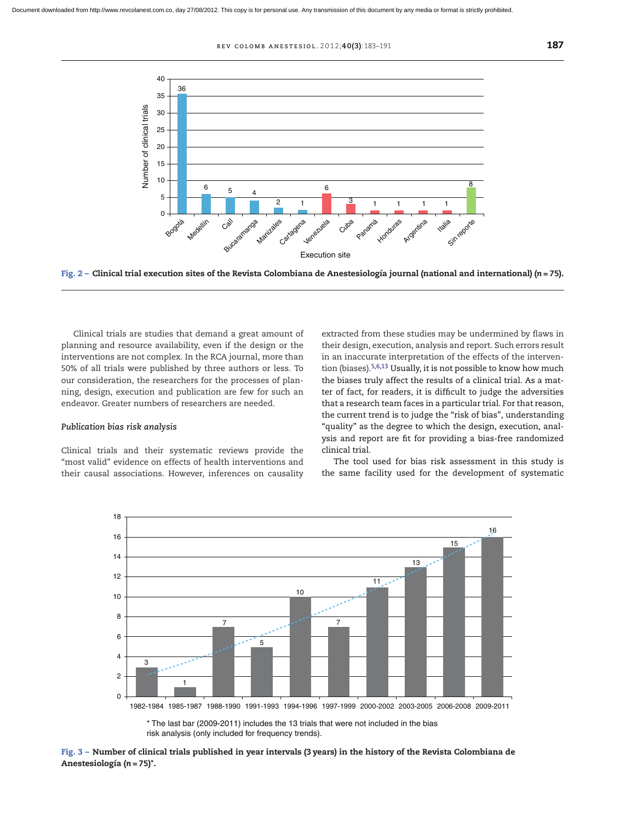r ev colomb ane s t e s iol . 2 0 1 2;**40(3)**:183–191 **187**

<span id="page-4-0"></span>

Fig.  $2$  – Clinical trial execution sites of the Revista Colombiana de Anestesiología journal (national and international) ( $n = 75$ ).

Clinical trials are studies that demand a great amount of planning and resource availability, even if the design or the interventions are not complex. In the RCA journal, more than 50% of all trials were published by three authors or less. To our consideration, the researchers for the processes of planning, design, execution and publication are few for such an endeavor. Greater numbers of researchers are needed.

#### *Publication bias risk analysis*

Clinical trials and their systematic reviews provide the "most valid" evidence on effects of health interventions and their causal associations. However, inferences on causality extracted from these studies may be undermined by flaws in their design, execution, analysis and report. Such errors result in an inaccurate interpretation of the effects of the intervention (biases).[5,6,13](#page-7-0) Usually, it is not possible to know how much the biases truly affect the results of a clinical trial. As a matter of fact, for readers, it is difficult to judge the adversities that a research team faces in a particular trial. For that reason, the current trend is to judge the "risk of bias", understanding "quality" as the degree to which the design, execution, analysis and report are fit for providing a bias-free randomized clinical trial.

The tool used for bias risk assessment in this study is the same facility used for the development of systematic



<sup>\*</sup> The last bar (2009-2011) includes the 13 trials that were not included in the bias risk analysis (only included for frequency trends).

Fig. 3 - Number of clinical trials published in year intervals (3 years) in the history of the Revista Colombiana de **Anestesiología (***n* **= 75)\*.**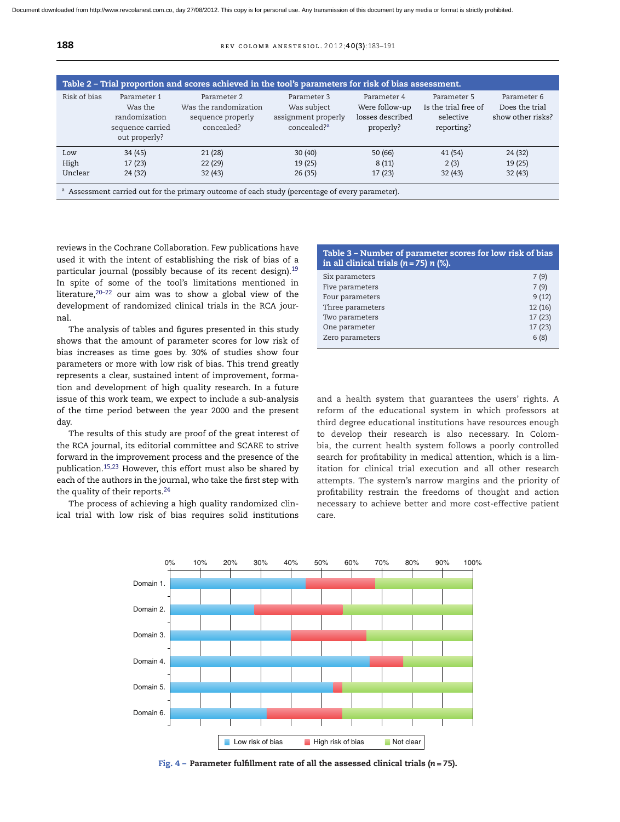<span id="page-5-0"></span>

| Risk of bias | Parameter 1<br>Was the<br>randomization<br>sequence carried<br>out properly? | Parameter 2<br>Was the randomization<br>sequence properly<br>concealed? | Parameter 3<br>Was subject<br>assignment properly<br>concealed? <sup>a</sup> | Parameter 4<br>Were follow-up<br>losses described<br>properly? | Parameter 5<br>Is the trial free of<br>selective<br>reporting? | Parameter 6<br>Does the trial<br>show other risks? |
|--------------|------------------------------------------------------------------------------|-------------------------------------------------------------------------|------------------------------------------------------------------------------|----------------------------------------------------------------|----------------------------------------------------------------|----------------------------------------------------|
| Low          | 34 (45)                                                                      | 21(28)                                                                  | 30(40)                                                                       | 50(66)                                                         | 41(54)                                                         | 24 (32)                                            |
| High         | 17(23)                                                                       | 22(29)                                                                  | 19(25)                                                                       | 8(11)                                                          | 2(3)                                                           | 19(25)                                             |
| Unclear      | 24 (32)                                                                      | 32(43)                                                                  | 26(35)                                                                       | 17(23)                                                         | 32(43)                                                         | 32(43)                                             |

reviews in the Cochrane Collaboration. Few publications have used it with the intent of establishing the risk of bias of a particular journal (possibly because of its recent design).<sup>19</sup> In spite of some of the tool's limitations mentioned in literature,[20–22](#page-7-0) our aim was to show a global view of the development of randomized clinical trials in the RCA journal.

The analysis of tables and figures presented in this study shows that the amount of parameter scores for low risk of bias increases as time goes by. 30% of studies show four parameters or more with low risk of bias. This trend greatly represents a clear, sustained intent of improvement, formation and development of high quality research. In a future issue of this work team, we expect to include a sub-analysis of the time period between the year 2000 and the present day.

The results of this study are proof of the great interest of the RCA journal, its editorial committee and SCARE to strive forward in the improvement process and the presence of the publication.[15,23](#page-7-0) However, this effort must also be shared by each of the authors in the journal, who take the first step with the quality of their reports.<sup>24</sup>

The process of achieving a high quality randomized clinical trial with low risk of bias requires solid institutions

| Table 3 – Number of parameter scores for low risk of bias<br>in all clinical trials $(n = 75)$ n $(\%)$ . |        |  |  |  |
|-----------------------------------------------------------------------------------------------------------|--------|--|--|--|
| Six parameters                                                                                            | 7(9)   |  |  |  |
| Five parameters                                                                                           | 7(9)   |  |  |  |
| Four parameters                                                                                           | 9(12)  |  |  |  |
| Three parameters                                                                                          | 12(16) |  |  |  |
| Two parameters                                                                                            | 17(23) |  |  |  |
| One parameter                                                                                             | 17(23) |  |  |  |
| Zero parameters                                                                                           | 6(8)   |  |  |  |

and a health system that guarantees the users' rights. A reform of the educational system in which professors at third degree educational institutions have resources enough to develop their research is also necessary. In Colombia, the current health system follows a poorly controlled search for profitability in medical attention, which is a limitation for clinical trial execution and all other research attempts. The system's narrow margins and the priority of profitability restrain the freedoms of thought and action necessary to achieve better and more cost-effective patient care.



**Fig. 4 – Parameter fulfillment rate of all the assessed clinical trials (***n* **= 75).**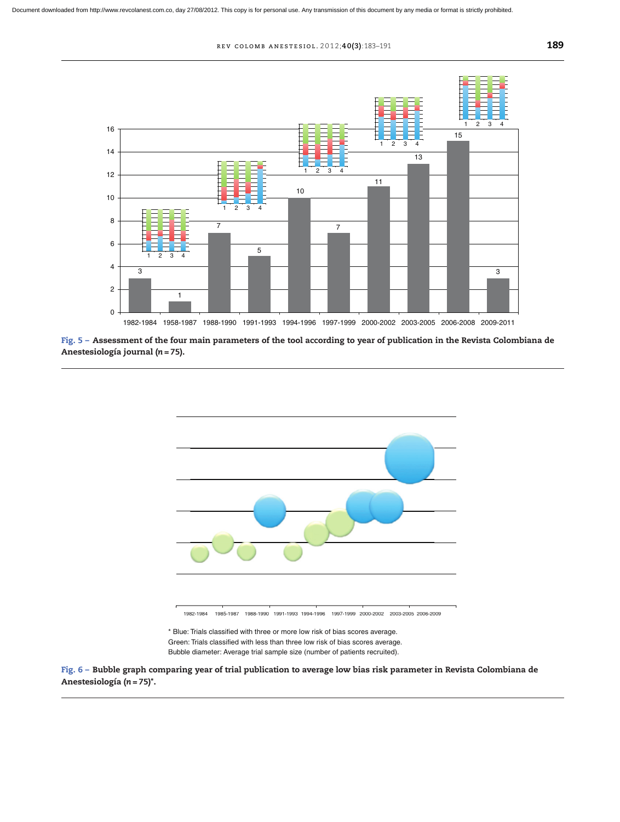<span id="page-6-0"></span>

Fig. 5 - Assessment of the four main parameters of the tool according to year of publication in the Revista Colombiana de **Anestesiología journal (***n* **= 75).**



Bubble diameter: Average trial sample size (number of patients recruited).

Fig. 6 - Bubble graph comparing year of trial publication to average low bias risk parameter in Revista Colombiana de **Anestesiología (***n* **= 75)\*.**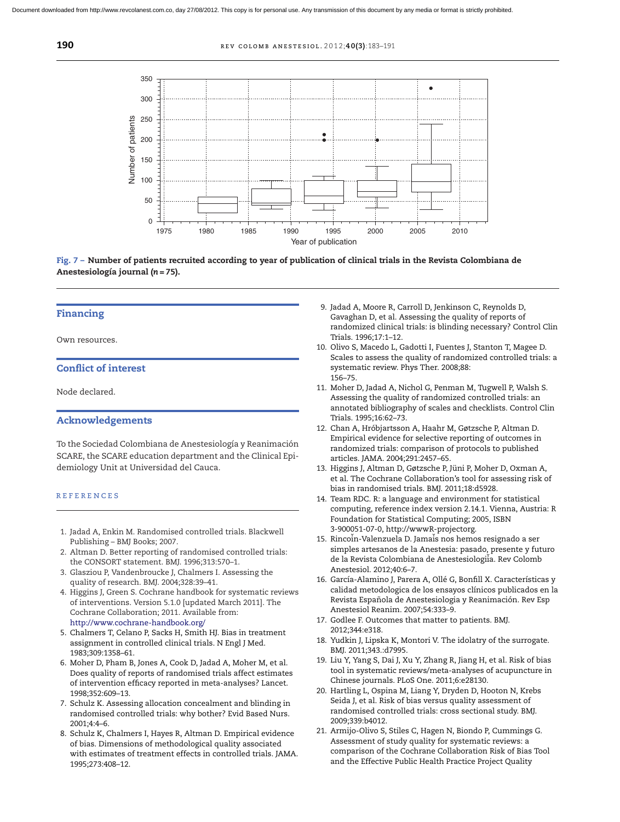<span id="page-7-0"></span>**190 REV COLOMB ANESTESIOL. 2012:40(3):183-191** 



Fig. 7 - Number of patients recruited according to year of publication of clinical trials in the Revista Colombiana de **Anestesiología journal (***n* **= 75).**

## **Financing**

Own resources.

## **Conflict of interest**

Node declared.

## **Acknowledgements**

To the Sociedad Colombiana de Anestesiología y Reanimación SCARE, the SCARE education department and the Clinical Epidemiology Unit at Universidad del Cauca.

#### **REFERENCES**

- 1. Jadad A, Enkin M. Randomised controlled trials. Blackwell Publishing – BMJ Books; 2007.
- 2. Altman D. Better reporting of randomised controlled trials: the CONSORT statement. BMJ. 1996;313:570–1.
- 3. Glasziou P, Vandenbroucke J, Chalmers I. Assessing the quality of research. BMJ. 2004;328:39–41.
- 4. Higgins J, Green S. Cochrane handbook for systematic reviews of interventions. Version 5.1.0 [updated March 2011]. The Cochrane Collaboration; 2011. Available from: <http://www.cochrane-handbook.org/>
- 5. Chalmers T, Celano P, Sacks H, Smith HJ. Bias in treatment assignment in controlled clinical trials. N Engl J Med. 1983;309:1358–61.
- 6. Moher D, Pham B, Jones A, Cook D, Jadad A, Moher M, et al. Does quality of reports of randomised trials affect estimates of intervention efficacy reported in meta-analyses? Lancet. 1998;352:609–13.
- 7. Schulz K. Assessing allocation concealment and blinding in randomised controlled trials: why bother? Evid Based Nurs. 2001;4:4–6.
- 8. Schulz K, Chalmers I, Hayes R, Altman D. Empirical evidence of bias. Dimensions of methodological quality associated with estimates of treatment effects in controlled trials. JAMA. 1995;273:408–12.
- 9. Jadad A, Moore R, Carroll D, Jenkinson C, Reynolds D, Gavaghan D, et al. Assessing the quality of reports of randomized clinical trials: is blinding necessary? Control Clin Trials. 1996;17:1–12.
- 10. Olivo S, Macedo L, Gadotti I, Fuentes J, Stanton T, Magee D. Scales to assess the quality of randomized controlled trials: a systematic review. Phys Ther. 2008;88: 156–75.
- 11. Moher D, Jadad A, Nichol G, Penman M, Tugwell P, Walsh S. Assessing the quality of randomized controlled trials: an annotated bibliography of scales and checklists. Control Clin Trials. 1995;16:62–73.
- 12. Chan A, Hróbjartsson A, Haahr M, Gøtzsche P, Altman D. Empirical evidence for selective reporting of outcomes in randomized trials: comparison of protocols to published articles. JAMA. 2004;291:2457–65.
- 13. Higgins J, Altman D, Gøtzsche P, Jüni P, Moher D, Oxman A, et al. The Cochrane Collaboration's tool for assessing risk of bias in randomised trials. BMJ. 2011;18:d5928.
- 14. Team RDC. R: a language and environment for statistical computing, reference index version 2.14.1. Vienna, Austria: R Foundation for Statistical Computing; 2005, ISBN 3-900051-07-0, http://wwwR-projectorg.
- 15. Rincoin-Valenzuela D. Jamais nos hemos resignado a ser simples artesanos de la Anestesia: pasado, presente y futuro de la Revista Colombiana de Anestesiologii̇̀a. Rev Colomb Anestesiol. 2012;40:6–7.
- 16. García-Alamino J, Parera A, Ollé G, Bonfill X. Características y calidad metodologica de los ensayos clínicos publicados en la Revista Española de Anestesiologia y Reanimación. Rev Esp Anestesiol Reanim. 2007;54:333–9.
- 17. Godlee F. Outcomes that matter to patients. BMJ. 2012;344:e318.
- 18. Yudkin J, Lipska K, Montori V. The idolatry of the surrogate. BMJ. 2011;343.:d7995.
- 19. Liu Y, Yang S, Dai J, Xu Y, Zhang R, Jiang H, et al. Risk of bias tool in systematic reviews/meta-analyses of acupuncture in Chinese journals. PLoS One. 2011;6:e28130.
- 20. Hartling L, Ospina M, Liang Y, Dryden D, Hooton N, Krebs Seida J, et al. Risk of bias versus quality assessment of randomised controlled trials: cross sectional study. BMJ. 2009;339:b4012.
- 21. Armijo-Olivo S, Stiles C, Hagen N, Biondo P, Cummings G. Assessment of study quality for systematic reviews: a comparison of the Cochrane Collaboration Risk of Bias Tool and the Effective Public Health Practice Project Quality